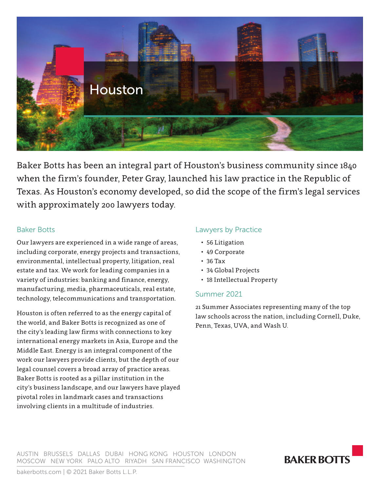

Baker Botts has been an integral part of Houston's business community since 1840 when the firm's founder, Peter Gray, launched his law practice in the Republic of Texas. As Houston's economy developed, so did the scope of the firm's legal services with approximately 200 lawyers today.

# Baker Botts

Our lawyers are experienced in a wide range of areas, including corporate, energy projects and transactions, environmental, intellectual property, litigation, real estate and tax. We work for leading companies in a variety of industries: banking and finance, energy, manufacturing, media, pharmaceuticals, real estate, technology, telecommunications and transportation.

Houston is often referred to as the energy capital of the world, and Baker Botts is recognized as one of the city's leading law firms with connections to key international energy markets in Asia, Europe and the Middle East. Energy is an integral component of the work our lawyers provide clients, but the depth of our legal counsel covers a broad array of practice areas. Baker Botts is rooted as a pillar institution in the city's business landscape, and our lawyers have played pivotal roles in landmark cases and transactions involving clients in a multitude of industries.

# Lawyers by Practice

- 56 Litigation
- 49 Corporate
- 36 Tax
- 34 Global Projects
- 18 Intellectual Property

# Summer 2021

21 Summer Associates representing many of the top law schools across the nation, including Cornell, Duke, Penn, Texas, UVA, and Wash U.

AUSTIN BRUSSELS DALLAS DUBAI HONG KONG HOUSTON LONDON MOSCOW NEW YORK PALO ALTO RIYADH SAN FRANCISCO WASHINGTON